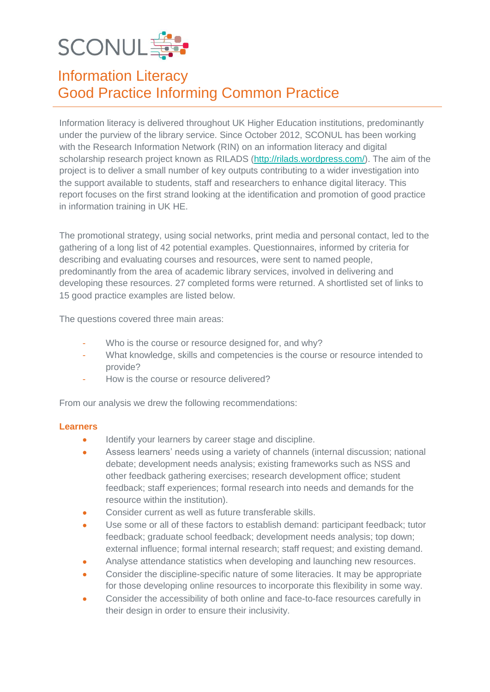

Information literacy is delivered throughout UK Higher Education institutions, predominantly under the purview of the library service. Since October 2012, SCONUL has been working with the Research Information Network (RIN) on an information literacy and digital scholarship research project known as RILADS [\(http://rilads.wordpress.com/\)](http://rilads.wordpress.com/). The aim of the project is to deliver a small number of key outputs contributing to a wider investigation into the support available to students, staff and researchers to enhance digital literacy. This report focuses on the first strand looking at the identification and promotion of good practice in information training in UK HE.

The promotional strategy, using social networks, print media and personal contact, led to the gathering of a long list of 42 potential examples. Questionnaires, informed by criteria for describing and evaluating courses and resources, were sent to named people, predominantly from the area of academic library services, involved in delivering and developing these resources. 27 completed forms were returned. A shortlisted set of links to 15 good practice examples are listed below.

The questions covered three main areas:

- Who is the course or resource designed for, and why?
- What knowledge, skills and competencies is the course or resource intended to provide?
- How is the course or resource delivered?

From our analysis we drew the following recommendations:

#### **Learners**

- Identify your learners by career stage and discipline.
- Assess learners' needs using a variety of channels (internal discussion; national debate; development needs analysis; existing frameworks such as NSS and other feedback gathering exercises; research development office; student feedback; staff experiences; formal research into needs and demands for the resource within the institution).
- Consider current as well as future transferable skills.
- Use some or all of these factors to establish demand: participant feedback; tutor feedback; graduate school feedback; development needs analysis; top down; external influence; formal internal research; staff request; and existing demand.
- Analyse attendance statistics when developing and launching new resources.
- Consider the discipline-specific nature of some literacies. It may be appropriate for those developing online resources to incorporate this flexibility in some way.
- Consider the accessibility of both online and face-to-face resources carefully in their design in order to ensure their inclusivity.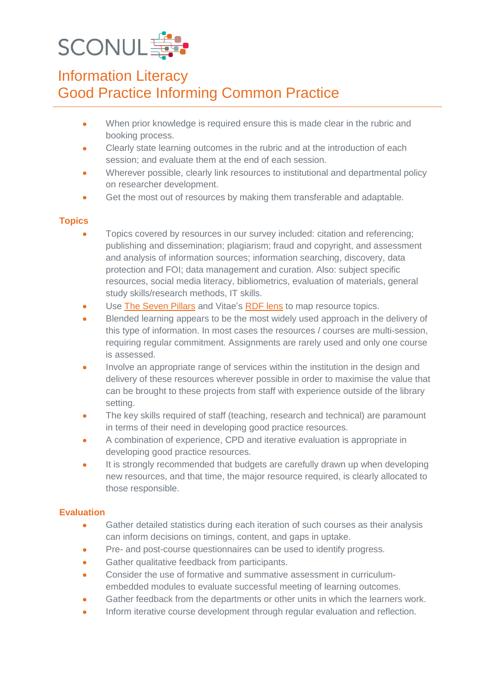

- When prior knowledge is required ensure this is made clear in the rubric and booking process.
- Clearly state learning outcomes in the rubric and at the introduction of each session; and evaluate them at the end of each session.
- Wherever possible, clearly link resources to institutional and departmental policy on researcher development.
- Get the most out of resources by making them transferable and adaptable.

#### **Topics**

- Topics covered by resources in our survey included: citation and referencing; publishing and dissemination; plagiarism; fraud and copyright, and assessment and analysis of information sources; information searching, discovery, data protection and FOI; data management and curation. Also: subject specific resources, social media literacy, bibliometrics, evaluation of materials, general study skills/research methods, IT skills.
- Use [The Seven](http://www.sconul.ac.uk/sites/default/files/documents/researchlens.pdf) Pillars and Vitae's [RDF lens](http://www.vitae.ac.uk/CMS/files/upload/Vitae_Information_Literacy_Lens_on_the_RDF_Apr_2012.pdf) to map resource topics.
- Blended learning appears to be the most widely used approach in the delivery of this type of information. In most cases the resources / courses are multi-session, requiring regular commitment. Assignments are rarely used and only one course is assessed.
- Involve an appropriate range of services within the institution in the design and delivery of these resources wherever possible in order to maximise the value that can be brought to these projects from staff with experience outside of the library setting.
- The key skills required of staff (teaching, research and technical) are paramount in terms of their need in developing good practice resources.
- A combination of experience, CPD and iterative evaluation is appropriate in developing good practice resources.
- It is strongly recommended that budgets are carefully drawn up when developing new resources, and that time, the major resource required, is clearly allocated to those responsible.

### **Evaluation**

- Gather detailed statistics during each iteration of such courses as their analysis can inform decisions on timings, content, and gaps in uptake.
- Pre- and post-course questionnaires can be used to identify progress.
- **•** Gather qualitative feedback from participants.
- Consider the use of formative and summative assessment in curriculumembedded modules to evaluate successful meeting of learning outcomes.
- Gather feedback from the departments or other units in which the learners work.
- Inform iterative course development through regular evaluation and reflection.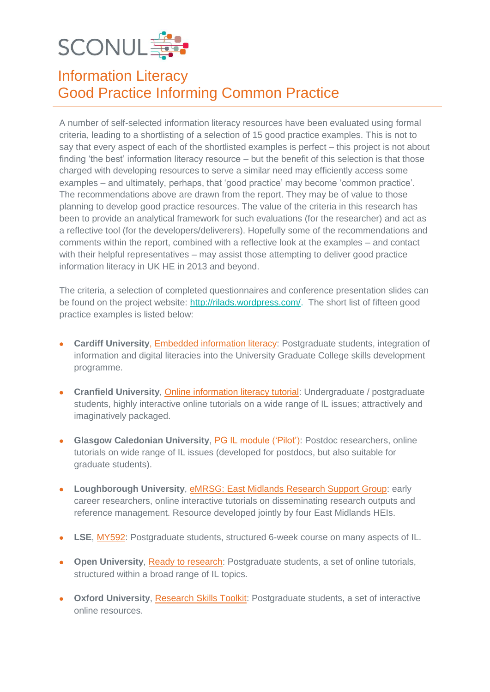

A number of self-selected information literacy resources have been evaluated using formal criteria, leading to a shortlisting of a selection of 15 good practice examples. This is not to say that every aspect of each of the shortlisted examples is perfect – this project is not about finding 'the best' information literacy resource – but the benefit of this selection is that those charged with developing resources to serve a similar need may efficiently access some examples – and ultimately, perhaps, that 'good practice' may become 'common practice'. The recommendations above are drawn from the report. They may be of value to those planning to develop good practice resources. The value of the criteria in this research has been to provide an analytical framework for such evaluations (for the researcher) and act as a reflective tool (for the developers/deliverers). Hopefully some of the recommendations and comments within the report, combined with a reflective look at the examples – and contact with their helpful representatives – may assist those attempting to deliver good practice information literacy in UK HE in 2013 and beyond.

The criteria, a selection of completed questionnaires and conference presentation slides can be found on the project website: [http://rilads.wordpress.com/.](http://rilads.wordpress.com/) The short list of fifteen good practice examples is listed below:

- **Cardiff University**, [Embedded information literacy:](http://cardiff.ac.uk/ugc/training) Postgraduate students, integration of information and digital literacies into the University Graduate College skills development programme.
- **Cranfield University**, [Online information literacy tutorial:](http://www.cranfield.ac.uk/library/cranfield/training/page38712.html) Undergraduate / postgraduate students, highly interactive online tutorials on a wide range of IL issues; attractively and imaginatively packaged.
- **Glasgow Caledonian University**, [PG IL module \('Pilot'\):](http://www.gcu.ac.uk/library/PILOT/) Postdoc researchers, online tutorials on wide range of IL issues (developed for postdocs, but also suitable for graduate students).
- **Loughborough University, [eMRSG: East Midlands Research Support Group:](http://cuba.coventry.ac.uk/emrsg/) early** career researchers, online interactive tutorials on disseminating research outputs and reference management. Resource developed jointly by four East Midlands HEIs.
- **LSE**, [MY592:](http://www2.lse.ac.uk/library/services/training/MY592.aspx) Postgraduate students, structured 6-week course on many aspects of IL.
- **Open University**, [Ready to research:](http://readytoresearch.ac.uk/) Postgraduate students, a set of online tutorials, structured within a broad range of IL topics.
- **Oxford University**, [Research Skills Toolkit:](http://www.skillstoolkit.ox.ac.uk/) Postgraduate students, a set of interactive online resources.